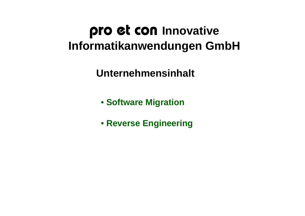# pro et con **Innovative Informatikanwendungen GmbH**

**Unternehmensinhalt**

- **Software Migration**
- **Reverse Engineering**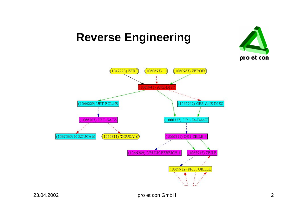

## **Reverse Engineering**

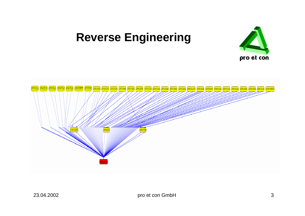#### **Reverse Engineering**



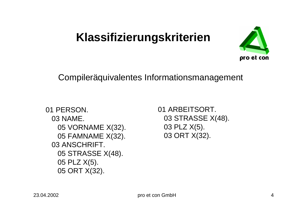

Compileräquivalentes Informationsmanagement

```
01 PERSON.
03 NAME.
  05 VORNAME X(32).
  05 FAMNAME X(32).
03 ANSCHRIFT.
  05 STRASSE X(48).
  05 PLZ X(5).
  05 ORT X(32).
```
01 ARBEITSORT. 03 STRASSE X(48). 03 PLZ X(5). 03 ORT X(32).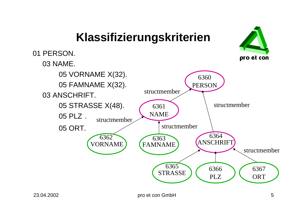#### 01 PERSON. pro et con 03 NAME. 05 VORNAME X(32). 636005 FAMNAME X(32). PERSONstructmember03 ANSCHRIFT. 05 STRASSE X(48). structmember6361NAME05 PLZ . structmemberstructmember05 ORT. <sup>6364</sup> 6362 6363**ANSCHRIFT** VORNAMEFAMNAME structmember6365 6366 6367 STRASSE **ORT** PLZ

**Klassifizierungskriterien**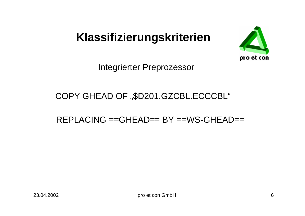

Integrierter Preprozessor

#### COPY GHEAD OF "\$D201.GZCBL.ECCCBL"

REPLACING ==GHEAD== BY ==WS-GHEAD==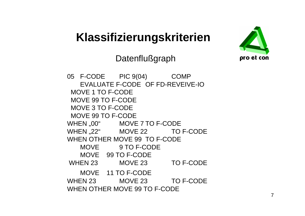

#### **Datenflußgraph**

05 F-CODE PIC 9(04) COMP EVALUATE F-CODE OF FD-REVEIVE-IOMOVE 1 TO F-CODEMOVE 99 TO F-CODEMOVE 3 TO F-CODEMOVE 99 TO F-CODEWHEN "00" MOVE 7 TO F-CODE WHEN ..22" MOVE 22 TO F-CODE WHEN OTHER MOVE 99 TO F-CODE MOVE 9 TO F-CODEMOVE 99 TO F-CODEWHEN 23 MOVE 23 TO F-CODE MOVE 11 TO F-CODEWHEN 23 MOVE 23 TO F-CODE WHEN OTHER MOVE 99 TO F-CODE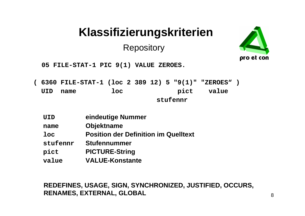**Repository** 



**05 FILE-STAT-1 PIC 9(1) VALUE ZEROES.**

- **( 6360 FILE-STAT-1 (loc 2 389 12) 5 "9(1)" "ZEROES" ) UID name loc pict value stufennr**
	- **UIDeindeutige Nummer**
	- **nameObjektname**
	- **locPosition der Definition im Quelltext**
	- **stufennrStufennummer**
	- **pict PICTURE-String**
	- **value VALUE-Konstante**

#### 23.04.2002 pro et con GmbH 8 **RENAMES, EXTERNAL, GLOBAL REDEFINES, USAGE, SIGN, SYNCHRONIZED, JUSTIFIED, OCCURS,**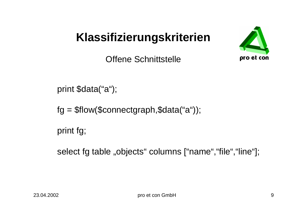

Offene Schnittstelle

print \$data("a");

fg = \$flow(\$connectgraph,\$data("a"));

print fg;

select fg table "objects" columns ["name", "file", "line"];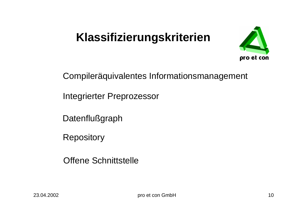

Compileräquivalentes Informationsmanagement

Integrierter Preprozessor

**Datenflußgraph** 

**Repository** 

Offene Schnittstelle